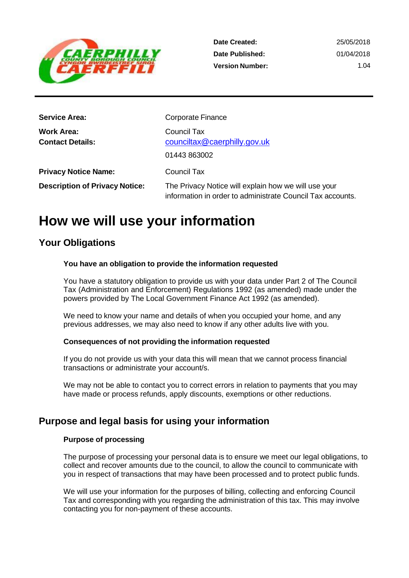

| <b>Service Area:</b>                  | <b>Corporate Finance</b>                                                                                           |
|---------------------------------------|--------------------------------------------------------------------------------------------------------------------|
| Work Area:<br><b>Contact Details:</b> | <b>Council Tax</b><br>counciltax@caerphilly.gov.uk<br>01443 863002                                                 |
| <b>Privacy Notice Name:</b>           | <b>Council Tax</b>                                                                                                 |
| <b>Description of Privacy Notice:</b> | The Privacy Notice will explain how we will use your<br>information in order to administrate Council Tax accounts. |

# **How we will use your information**

# **Your Obligations**

## **You have an obligation to provide the information requested**

You have a statutory obligation to provide us with your data under Part 2 of The Council Tax (Administration and Enforcement) Regulations 1992 (as amended) made under the powers provided by The Local Government Finance Act 1992 (as amended).

We need to know your name and details of when you occupied your home, and any previous addresses, we may also need to know if any other adults live with you.

## **Consequences of not providing the information requested**

If you do not provide us with your data this will mean that we cannot process financial transactions or administrate your account/s.

We may not be able to contact you to correct errors in relation to payments that you may have made or process refunds, apply discounts, exemptions or other reductions.

# **Purpose and legal basis for using your information**

## **Purpose of processing**

The purpose of processing your personal data is to ensure we meet our legal obligations, to collect and recover amounts due to the council, to allow the council to communicate with you in respect of transactions that may have been processed and to protect public funds.

We will use your information for the purposes of billing, collecting and enforcing Council Tax and corresponding with you regarding the administration of this tax. This may involve contacting you for non-payment of these accounts.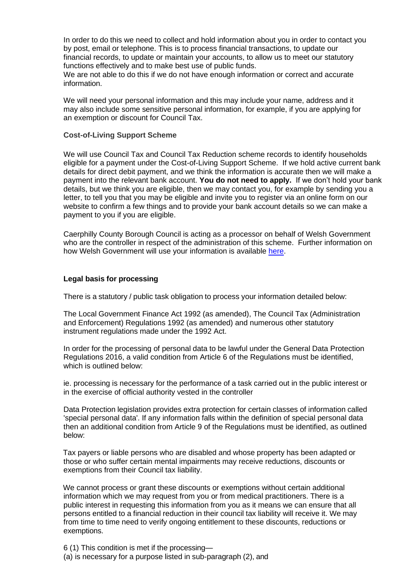In order to do this we need to collect and hold information about you in order to contact you by post, email or telephone. This is to process financial transactions, to update our financial records, to update or maintain your accounts, to allow us to meet our statutory functions effectively and to make best use of public funds.

We are not able to do this if we do not have enough information or correct and accurate information.

We will need your personal information and this may include your name, address and it may also include some sensitive personal information, for example, if you are applying for an exemption or discount for Council Tax.

#### **Cost-of-Living Support Scheme**

We will use Council Tax and Council Tax Reduction scheme records to identify households eligible for a payment under the Cost-of-Living Support Scheme. If we hold active current bank details for direct debit payment, and we think the information is accurate then we will make a payment into the relevant bank account. **You do not need to apply.** If we don't hold your bank details, but we think you are eligible, then we may contact you, for example by sending you a letter, to tell you that you may be eligible and invite you to register via an online form on our website to confirm a few things and to provide your bank account details so we can make a payment to you if you are eligible.

Caerphilly County Borough Council is acting as a processor on behalf of Welsh Government who are the controller in respect of the administration of this scheme. Further information on how Welsh Government will use your information is available [here.](https://gov.wales/website-privacy-policy)

#### **Legal basis for processing**

There is a statutory / public task obligation to process your information detailed below:

The Local Government Finance Act 1992 (as amended), The Council Tax (Administration and Enforcement) Regulations 1992 (as amended) and numerous other statutory instrument regulations made under the 1992 Act.

In order for the processing of personal data to be lawful under the General Data Protection Regulations 2016, a valid condition from Article 6 of the Regulations must be identified, which is outlined below:

ie. processing is necessary for the performance of a task carried out in the public interest or in the exercise of official authority vested in the controller

Data Protection legislation provides extra protection for certain classes of information called 'special personal data'. If any information falls within the definition of special personal data then an additional condition from Article 9 of the Regulations must be identified, as outlined below:

Tax payers or liable persons who are disabled and whose property has been adapted or those or who suffer certain mental impairments may receive reductions, discounts or exemptions from their Council tax liability.

We cannot process or grant these discounts or exemptions without certain additional information which we may request from you or from medical practitioners. There is a public interest in requesting this information from you as it means we can ensure that all persons entitled to a financial reduction in their council tax liability will receive it. We may from time to time need to verify ongoing entitlement to these discounts, reductions or exemptions.

6 (1) This condition is met if the processing— (a) is necessary for a purpose listed in sub-paragraph (2), and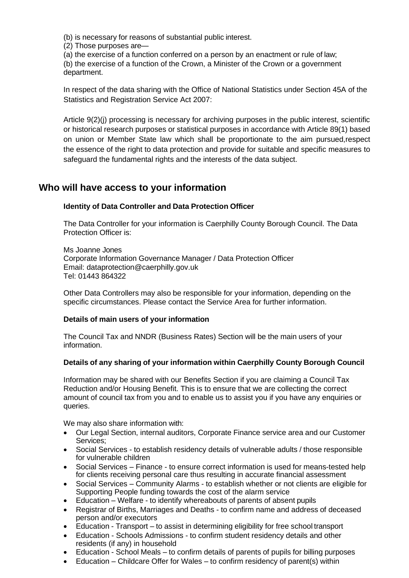(b) is necessary for reasons of substantial public interest.

(2) Those purposes are—

(a) the exercise of a function conferred on a person by an enactment or rule of law;

(b) the exercise of a function of the Crown, a Minister of the Crown or a government department.

In respect of the data sharing with the Office of National Statistics under Section 45A of the Statistics and Registration Service Act 2007:

Article 9(2)(j) processing is necessary for archiving purposes in the public interest, scientific or historical research purposes or statistical purposes in accordance with Article 89(1) based on union or Member State law which shall be proportionate to the aim pursued,respect the essence of the right to data protection and provide for suitable and specific measures to safeguard the fundamental rights and the interests of the data subject.

# **Who will have access to your information**

## **Identity of Data Controller and Data Protection Officer**

The Data Controller for your information is Caerphilly County Borough Council. The Data Protection Officer is:

Ms Joanne Jones Corporate Information Governance Manager / Data Protection Officer Email: [dataprotection@caerphilly.gov.uk](mailto:dataprotection@caerphilly.gov.uk) Tel: 01443 864322

Other Data Controllers may also be responsible for your information, depending on the specific circumstances. Please contact the Service Area for further information.

## **Details of main users of your information**

The Council Tax and NNDR (Business Rates) Section will be the main users of your information.

## **Details of any sharing of your information within Caerphilly County Borough Council**

Information may be shared with our Benefits Section if you are claiming a Council Tax Reduction and/or Housing Benefit. This is to ensure that we are collecting the correct amount of council tax from you and to enable us to assist you if you have any enquiries or queries.

We may also share information with:

- Our Legal Section, internal auditors, Corporate Finance service area and our Customer Services;
- Social Services to establish residency details of vulnerable adults / those responsible for vulnerable children
- Social Services Finance to ensure correct information is used for means-tested help for clients receiving personal care thus resulting in accurate financial assessment
- Social Services Community Alarms to establish whether or not clients are eligible for Supporting People funding towards the cost of the alarm service
- Education Welfare to identify whereabouts of parents of absent pupils
- Registrar of Births, Marriages and Deaths to confirm name and address of deceased person and/or executors
- Education Transport to assist in determining eligibility for free school transport
- Education Schools Admissions to confirm student residency details and other residents (if any) in household
- Education School Meals to confirm details of parents of pupils for billing purposes
- Education Childcare Offer for Wales to confirm residency of parent(s) within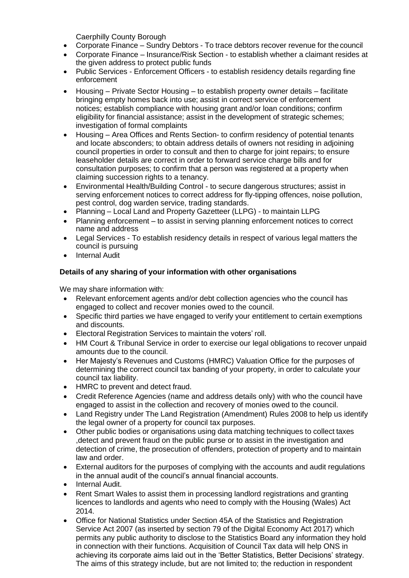Caerphilly County Borough

- Corporate Finance Sundry Debtors To trace debtors recover revenue for thecouncil
- Corporate Finance Insurance/Risk Section to establish whether a claimant resides at the given address to protect public funds
- Public Services Enforcement Officers to establish residency details regarding fine enforcement
- Housing Private Sector Housing to establish property owner details facilitate bringing empty homes back into use; assist in correct service of enforcement notices; establish compliance with housing grant and/or loan conditions; confirm eligibility for financial assistance; assist in the development of strategic schemes; investigation of formal complaints
- Housing Area Offices and Rents Section- to confirm residency of potential tenants and locate absconders; to obtain address details of owners not residing in adjoining council properties in order to consult and then to charge for joint repairs; to ensure leaseholder details are correct in order to forward service charge bills and for consultation purposes; to confirm that a person was registered at a property when claiming succession rights to a tenancy.
- Environmental Health/Building Control to secure dangerous structures; assist in serving enforcement notices to correct address for fly-tipping offences, noise pollution, pest control, dog warden service, trading standards.
- Planning Local Land and Property Gazetteer (LLPG) to maintain LLPG
- Planning enforcement to assist in serving planning enforcement notices to correct name and address
- Legal Services To establish residency details in respect of various legal matters the council is pursuing
- **Internal Audit**

## **Details of any sharing of your information with other organisations**

We may share information with:

- Relevant enforcement agents and/or debt collection agencies who the council has engaged to collect and recover monies owed to the council.
- Specific third parties we have engaged to verify your entitlement to certain exemptions and discounts.
- Electoral Registration Services to maintain the voters' roll.
- HM Court & Tribunal Service in order to exercise our legal obligations to recover unpaid amounts due to the council.
- Her Majesty's Revenues and Customs (HMRC) Valuation Office for the purposes of determining the correct council tax banding of your property, in order to calculate your council tax liability.
- HMRC to prevent and detect fraud.
- Credit Reference Agencies (name and address details only) with who the council have engaged to assist in the collection and recovery of monies owed to the council.
- Land Registry under The Land Registration (Amendment) Rules 2008 to help us identify the legal owner of a property for council tax purposes.
- Other public bodies or organisations using data matching techniques to collect taxes ,detect and prevent fraud on the public purse or to assist in the investigation and detection of crime, the prosecution of offenders, protection of property and to maintain law and order.
- External auditors for the purposes of complying with the accounts and audit regulations in the annual audit of the council's annual financial accounts.
- Internal Audit.
- Rent Smart Wales to assist them in processing landlord registrations and granting licences to landlords and agents who need to comply with the Housing (Wales) Act 2014.
- Office for National Statistics under Section 45A of the Statistics and Registration Service Act 2007 (as inserted by section 79 of the Digital Economy Act 2017) which permits any public authority to disclose to the Statistics Board any information they hold in connection with their functions. Acquisition of Council Tax data will help ONS in achieving its corporate aims laid out in the 'Better Statistics, Better Decisions' strategy. The aims of this strategy include, but are not limited to; the reduction in respondent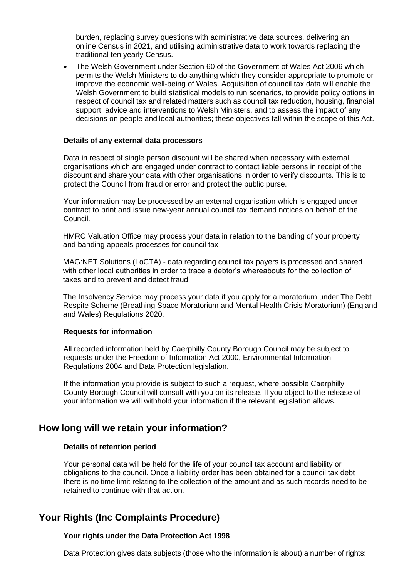burden, replacing survey questions with administrative data sources, delivering an online Census in 2021, and utilising administrative data to work towards replacing the traditional ten yearly Census.

• The Welsh Government under Section 60 of the Government of Wales Act 2006 which permits the Welsh Ministers to do anything which they consider appropriate to promote or improve the economic well-being of Wales. Acquisition of council tax data will enable the Welsh Government to build statistical models to run scenarios, to provide policy options in respect of council tax and related matters such as council tax reduction, housing, financial support, advice and interventions to Welsh Ministers, and to assess the impact of any decisions on people and local authorities; these objectives fall within the scope of this Act.

#### **Details of any external data processors**

Data in respect of single person discount will be shared when necessary with external organisations which are engaged under contract to contact liable persons in receipt of the discount and share your data with other organisations in order to verify discounts. This is to protect the Council from fraud or error and protect the public purse.

Your information may be processed by an external organisation which is engaged under contract to print and issue new-year annual council tax demand notices on behalf of the Council.

HMRC Valuation Office may process your data in relation to the banding of your property and banding appeals processes for council tax

MAG:NET Solutions (LoCTA) - data regarding council tax payers is processed and shared with other local authorities in order to trace a debtor's whereabouts for the collection of taxes and to prevent and detect fraud.

The Insolvency Service may process your data if you apply for a moratorium under The Debt Respite Scheme (Breathing Space Moratorium and Mental Health Crisis Moratorium) (England and Wales) Regulations 2020.

#### **Requests for information**

All recorded information held by Caerphilly County Borough Council may be subject to requests under the Freedom of Information Act 2000, Environmental Information Regulations 2004 and Data Protection legislation.

If the information you provide is subject to such a request, where possible Caerphilly County Borough Council will consult with you on its release. If you object to the release of your information we will withhold your information if the relevant legislation allows.

# **How long will we retain your information?**

#### **Details of retention period**

Your personal data will be held for the life of your council tax account and liability or obligations to the council. Once a liability order has been obtained for a council tax debt there is no time limit relating to the collection of the amount and as such records need to be retained to continue with that action.

# **Your Rights (Inc Complaints Procedure)**

#### **Your rights under the Data Protection Act 1998**

Data Protection gives data subjects (those who the information is about) a number of rights: